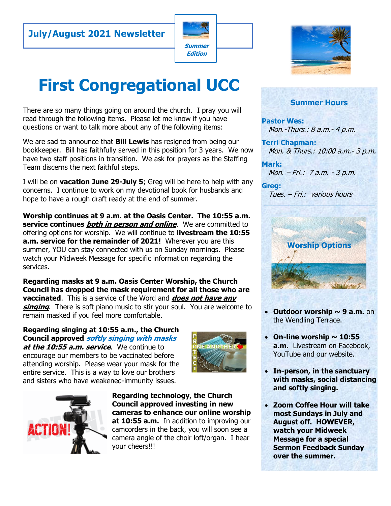# **July/August 2021 Newsletter**



# **First Congregational UCC**

There are so many things going on around the church. I pray you will read through the following items. Please let me know if you have questions or want to talk more about any of the following items:

We are sad to announce that **Bill Lewis** has resigned from being our bookkeeper. Bill has faithfully served in this position for 3 years. We now have two staff positions in transition. We ask for prayers as the Staffing Team discerns the next faithful steps.

I will be on **vacation June 29-July 5**; Greg will be here to help with any concerns. I continue to work on my devotional book for husbands and hope to have a rough draft ready at the end of summer.

**Worship continues at 9 a.m. at the Oasis Center. The 10:55 a.m. service continues both in person and online**. We are committed to offering options for worship. We will continue to **livestream the 10:55 a.m. service for the remainder of 2021!** Wherever you are this summer, YOU can stay connected with us on Sunday mornings. Please watch your Midweek Message for specific information regarding the services.

**Regarding masks at 9 a.m. Oasis Center Worship, the Church Council has dropped the mask requirement for all those who are vaccinated**. This is a service of the Word and **does not have any singing**. There is soft piano music to stir your soul. You are welcome to remain masked if you feel more comfortable.

**Regarding singing at 10:55 a.m., the Church Council approved softly singing with masks at the 10:55 a.m. service**. We continue to encourage our members to be vaccinated before attending worship. Please wear your mask for the

entire service. This is a way to love our brothers and sisters who have weakened-immunity issues.





**Regarding technology, the Church Council approved investing in new cameras to enhance our online worship at 10:55 a.m.** In addition to improving our camcorders in the back, you will soon see a camera angle of the choir loft/organ. I hear your cheers!!!



#### **Summer Hours**

**Pastor Wes:**  Mon.-Thurs.: 8 a.m.- 4 p.m.

**Terri Chapman:**  Mon. & Thurs.: 10:00 a.m.- 3 p.m.

**Mark:** Mon. – Fri.: 7 a.m. - 3 p.m.

**Greg:**  Tues. – Fri.: various hours



- **Outdoor worship ~ 9 a.m.** on the Wendling Terrace.
- $\cdot$  On-line worship  $\sim$  10:55 **a.m.** Livestream on Facebook, YouTube and our website.
- **In-person, in the sanctuary with masks, social distancing and softly singing.**
- **Zoom Coffee Hour will take most Sundays in July and August off. HOWEVER, watch your Midweek Message for a special Sermon Feedback Sunday over the summer.**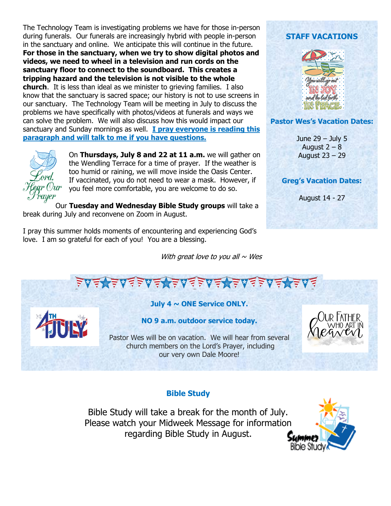The Technology Team is investigating problems we have for those in-person during funerals. Our funerals are increasingly hybrid with people in-person in the sanctuary and online. We anticipate this will continue in the future. **For those in the sanctuary, when we try to show digital photos and videos, we need to wheel in a television and run cords on the sanctuary floor to connect to the soundboard. This creates a tripping hazard and the television is not visible to the whole church**. It is less than ideal as we minister to grieving families. I also know that the sanctuary is sacred space; our history is not to use screens in our sanctuary. The Technology Team will be meeting in July to discuss the problems we have specifically with photos/videos at funerals and ways we can solve the problem. We will also discuss how this would impact our sanctuary and Sunday mornings as well. **I pray everyone is reading this paragraph and will talk to me if you have questions.**



On **Thursdays, July 8 and 22 at 11 a.m.** we will gather on the Wendling Terrace for a time of prayer. If the weather is too humid or raining, we will move inside the Oasis Center. If vaccinated, you do not need to wear a mask. However, if you feel more comfortable, you are welcome to do so.

Our **Tuesday and Wednesday Bible Study groups** will take a break during July and reconvene on Zoom in August.

I pray this summer holds moments of encountering and experiencing God's love. I am so grateful for each of you! You are a blessing.

With great love to you all  $\sim$  Wes

## **STAFF VACATIONS**



#### **Pastor Wes's Vacation Dates:**

June 29 – July 5 August  $2 - 8$ August 23 – 29

#### **Greg's Vacation Dates:**

August 14 - 27

<u>、⋦⋦⋦⋦⋦⋦⋦⋦⋦⋦⋦⋦⋦⋦⋦</u>

### **July 4 ~ ONE Service ONLY.**



Pastor Wes will be on vacation. We will hear from several church members on the Lord's Prayer, including our very own Dale Moore!

### **Bible Study**

Bible Study will take a break for the month of July. Please watch your Midweek Message for information regarding Bible Study in August.

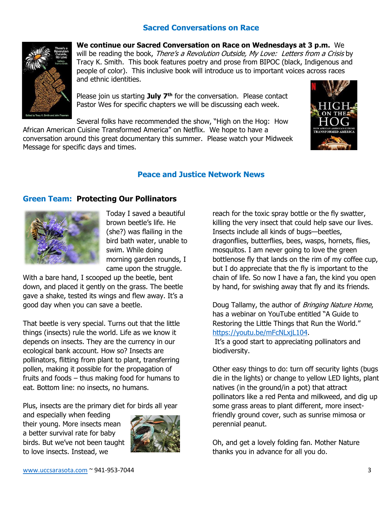### **Sacred Conversations on Race**



**We continue our Sacred Conversation on Race on Wednesdays at 3 p.m.** We will be reading the book, There's a Revolution Outside, My Love: Letters from a Crisis by Tracy K. Smith. This book features poetry and prose from BIPOC (black, Indigenous and people of color). This inclusive book will introduce us to important voices across races and ethnic identities.

Please join us starting **July 7th** for the conversation. Please contact Pastor Wes for specific chapters we will be discussing each week.

Several folks have recommended the show, "High on the Hog: How

African American Cuisine Transformed America" on Netflix. We hope to have a conversation around this great documentary this summer. Please watch your Midweek Message for specific days and times.



#### **Peace and Justice Network News**

#### **Green Team: Protecting Our Pollinators**



Today I saved a beautiful brown beetle's life. He (she?) was flailing in the bird bath water, unable to swim. While doing morning garden rounds, I came upon the struggle.

With a bare hand, I scooped up the beetle, bent down, and placed it gently on the grass. The beetle gave a shake, tested its wings and flew away. It's a good day when you can save a beetle.

That beetle is very special. Turns out that the little things (insects) rule the world. Life as we know it depends on insects. They are the currency in our ecological bank account. How so? Insects are pollinators, flitting from plant to plant, transferring pollen, making it possible for the propagation of fruits and foods – thus making food for humans to eat. Bottom line: no insects, no humans.

Plus, insects are the primary diet for birds all year

and especially when feeding their young. More insects mean a better survival rate for baby birds. But we've not been taught to love insects. Instead, we



reach for the toxic spray bottle or the fly swatter, killing the very insect that could help save our lives. Insects include all kinds of bugs—beetles, dragonflies, butterflies, bees, wasps, hornets, flies, mosquitos. I am never going to love the green bottlenose fly that lands on the rim of my coffee cup, but I do appreciate that the fly is important to the chain of life. So now I have a fan, the kind you open by hand, for swishing away that fly and its friends.

Doug Tallamy, the author of Bringing Nature Home, has a webinar on YouTube entitled "A Guide to Restoring the Little Things that Run the World." [https://youtu.be/mFcNLxjL104.](about:blank)

It's a good start to appreciating pollinators and biodiversity.

Other easy things to do: turn off security lights (bugs die in the lights) or change to yellow LED lights, plant natives (in the ground/in a pot) that attract pollinators like a red Penta and milkweed, and dig up some grass areas to plant different, more insectfriendly ground cover, such as sunrise mimosa or perennial peanut.

Oh, and get a lovely folding fan. Mother Nature thanks you in advance for all you do.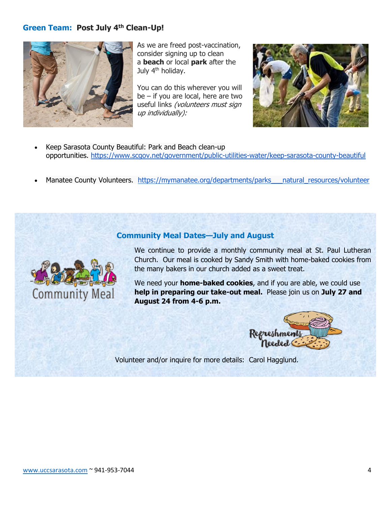#### **Green Team: Post July 4th Clean-Up!**



As we are freed post-vaccination, consider signing up to clean a **beach** or local **park** after the July 4<sup>th</sup> holiday.

You can do this wherever you will be – if you are local, here are two useful links (volunteers must sign up individually):



- Keep Sarasota County Beautiful: Park and Beach clean-up opportunities. <https://www.scgov.net/government/public-utilities-water/keep-sarasota-county-beautiful>
- Manatee County Volunteers. [https://mymanatee.org/departments/parks\\_\\_\\_natural\\_resources/volunteer](https://mymanatee.org/departments/parks___natural_resources/volunteer)

#### **Community Meal Dates—July and August**



We continue to provide a monthly community meal at St. Paul Lutheran Church. Our meal is cooked by Sandy Smith with home-baked cookies from the many bakers in our church added as a sweet treat.

We need your **home-baked cookies**, and if you are able, we could use **help in preparing our take-out meal.** Please join us on **July 27 and August 24 from 4-6 p.m.**



Volunteer and/or inquire for more details: Carol Hagglund.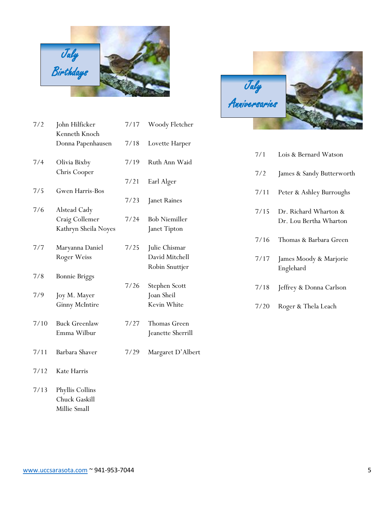

| 7/2  | John Hilficker                                          | 7/17 | Woody Fletcher                                    |
|------|---------------------------------------------------------|------|---------------------------------------------------|
|      | Kenneth Knoch<br>Donna Papenhausen                      | 7/18 | Lovette Harper                                    |
| 7/4  | Olivia Bixby                                            | 7/19 | Ruth Ann Waid                                     |
|      | Chris Cooper                                            | 7/21 | Earl Alger                                        |
| 7/5  | Gwen Harris-Bos                                         |      |                                                   |
| 7/6  | Alstead Cady                                            | 7/23 | Janet Raines                                      |
|      | Craig Collemer<br>Kathryn Sheila Noyes                  | 7/24 | <b>Bob Niemiller</b><br>Janet Tipton              |
| 7/7  | Maryanna Daniel<br>Roger Weiss                          | 7/25 | Julie Chismar<br>David Mitchell<br>Robin Snuttjer |
| 7/8  | <b>Bonnie Briggs</b>                                    |      |                                                   |
| 7/9  | Joy M. Mayer<br><b>Ginny McIntire</b>                   | 7/26 | Stephen Scott<br>Joan Sheil<br>Kevin White        |
| 7/10 | <b>Buck Greenlaw</b><br>Emma Wilbur                     | 7/27 | Thomas Green<br>Jeanette Sherrill                 |
| 7/11 | Barbara Shaver                                          | 7/29 | Margaret D'Albert                                 |
| 7/12 | Kate Harris                                             |      |                                                   |
| 7/13 | Phyllis Collins<br><b>Chuck Gaskill</b><br>Millie Small |      |                                                   |



| 7/1  | Lois & Bernard Watson                           |
|------|-------------------------------------------------|
| 7/2  | James & Sandy Butterworth                       |
| 7/11 | Peter & Ashley Burroughs                        |
| 7/15 | Dr. Richard Wharton &<br>Dr. Lou Bertha Wharton |
| 7/16 | Thomas & Barbara Green                          |
| 7/17 | James Moody & Marjorie<br>Englehard             |
| 7/18 | Jeffrey & Donna Carlson                         |

7/20 Roger & Thela Leach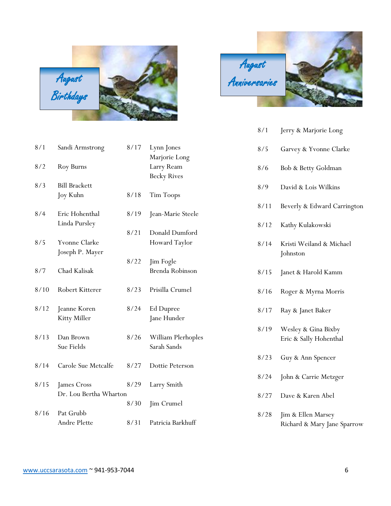

| 8/1  | Sandi Armstrong        | 8/17 | Lynn Jones         |
|------|------------------------|------|--------------------|
|      |                        |      | Marjorie Long      |
| 8/2  | Roy Burns              |      | Larry Ream         |
|      |                        |      | <b>Becky Rives</b> |
| 8/3  | <b>Bill Brackett</b>   |      |                    |
|      | Joy Kuhn               | 8/18 | Tim Toops          |
|      |                        |      |                    |
| 8/4  | Eric Hohenthal         | 8/19 | Jean-Marie Steele  |
|      | Linda Pursley          |      |                    |
|      |                        | 8/21 | Donald Dumford     |
| 8/5  | <b>Yvonne Clarke</b>   |      | Howard Taylor      |
|      | Joseph P. Mayer        |      |                    |
|      |                        | 8/22 | Jim Fogle          |
| 8/7  | Chad Kalisak           |      | Brenda Robinson    |
|      |                        |      |                    |
| 8/10 | Robert Kitterer        | 8/23 | Prisilla Crumel    |
|      |                        |      |                    |
| 8/12 | Jeanne Koren           | 8/24 | Ed Dupree          |
|      | Kitty Miller           |      | Jane Hunder        |
|      |                        |      |                    |
| 8/13 | Dan Brown              | 8/26 | William Plerhoples |
|      | Sue Fields             |      | Sarah Sands        |
|      |                        |      |                    |
| 8/14 | Carole Sue Metcalfe    | 8/27 | Dottie Peterson    |
|      |                        |      |                    |
| 8/15 | James Cross            | 8/29 | Larry Smith        |
|      | Dr. Lou Bertha Wharton |      |                    |
|      |                        | 8/30 | Jim Crumel         |
| 8/16 | Pat Grubb              |      |                    |
|      | Andre Plette           | 8/31 | Patricia Barkhuff  |
|      |                        |      |                    |
|      |                        |      |                    |

| August        |  |
|---------------|--|
| Anniversaries |  |
|               |  |

| 8/1  | Jerry & Marjorie Long                             |
|------|---------------------------------------------------|
| 8/5  | Garvey & Yvonne Clarke                            |
| 8/6  | Bob & Betty Goldman                               |
| 8/9  | David & Lois Wilkins                              |
| 8/11 | Beverly & Edward Carrington                       |
| 8/12 | Kathy Kulakowski                                  |
| 8/14 | Kristi Weiland & Michael<br>Johnston              |
| 8/15 | Janet & Harold Kamm                               |
| 8/16 | Roger & Myrna Morris                              |
| 8/17 | Ray & Janet Baker                                 |
| 8/19 | Wesley & Gina Bixby<br>Eric & Sally Hohenthal     |
| 8/23 | Guy & Ann Spencer                                 |
| 8/24 | John & Carrie Metzger                             |
| 8/27 | Dave & Karen Abel                                 |
| 8/28 | Jim & Ellen Marsey<br>Richard & Mary Jane Sparrow |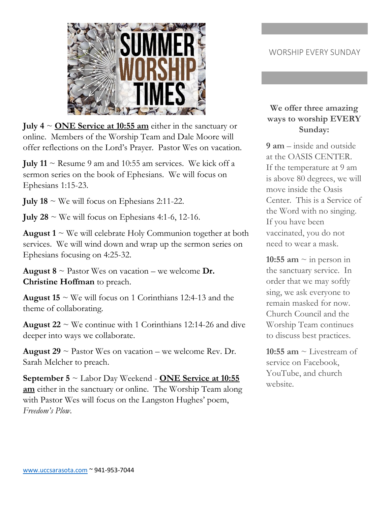

**July 4** ~ **ONE Service at 10:55 am** either in the sanctuary or online. Members of the Worship Team and Dale Moore will offer reflections on the Lord's Prayer. Pastor Wes on vacation.

**July 11**  $\sim$  Resume 9 am and 10:55 am services. We kick off a sermon series on the book of Ephesians. We will focus on Ephesians 1:15-23.

**July 18**  $\sim$  We will focus on Ephesians 2:11-22.

**July 28**  $\sim$  We will focus on Ephesians 4:1-6, 12-16.

**August 1**  $\sim$  We will celebrate Holy Communion together at both services. We will wind down and wrap up the sermon series on Ephesians focusing on 4:25-32.

**August 8**  $\sim$  Pastor Wes on vacation – we welcome **Dr. Christine Hoffman** to preach.

**August 15**  $\sim$  We will focus on 1 Corinthians 12:4-13 and the theme of collaborating.

**August 22**  $\sim$  We continue with 1 Corinthians 12:14-26 and dive deeper into ways we collaborate.

**August 29**  $\sim$  Pastor Wes on vacation – we welcome Rev. Dr. Sarah Melcher to preach.

**September 5** ~ Labor Day Weekend - **ONE Service at 10:55 am** either in the sanctuary or online. The Worship Team along with Pastor Wes will focus on the Langston Hughes' poem, *Freedom's Plow*.

## WORSHIP EVERY SUNDAY

## **We offer three amazing ways to worship EVERY Sunday:**

**9 am** – inside and outside at the OASIS CENTER. If the temperature at 9 am is above 80 degrees, we will move inside the Oasis Center. This is a Service of the Word with no singing. If you have been vaccinated, you do not need to wear a mask.

**10:55 am**  $\sim$  in person in the sanctuary service. In order that we may softly sing, we ask everyone to remain masked for now. Church Council and the Worship Team continues to discuss best practices.

**10:55 am**  $\sim$  Livestream of service on Facebook, YouTube, and church website.